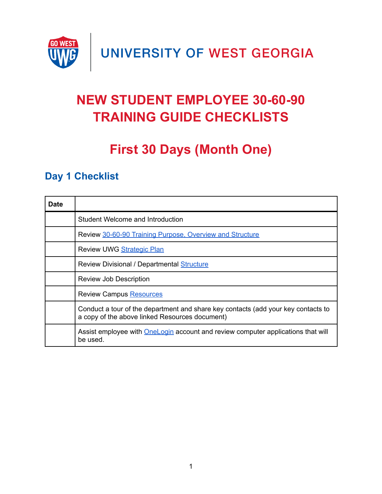

UNIVERSITY OF WEST GEORGIA

# **NEW STUDENT EMPLOYEE 30-60-90 TRAINING GUIDE CHECKLISTS**

## **First 30 Days (Month One)**

### **Day 1 Checklist**

| <b>Date</b> |                                                                                                                                     |
|-------------|-------------------------------------------------------------------------------------------------------------------------------------|
|             | Student Welcome and Introduction                                                                                                    |
|             | Review 30-60-90 Training Purpose, Overview and Structure                                                                            |
|             | Review UWG Strategic Plan                                                                                                           |
|             | Review Divisional / Departmental Structure                                                                                          |
|             | <b>Review Job Description</b>                                                                                                       |
|             | <b>Review Campus Resources</b>                                                                                                      |
|             | Conduct a tour of the department and share key contacts (add your key contacts to<br>a copy of the above linked Resources document) |
|             | Assist employee with OneLogin account and review computer applications that will<br>be used.                                        |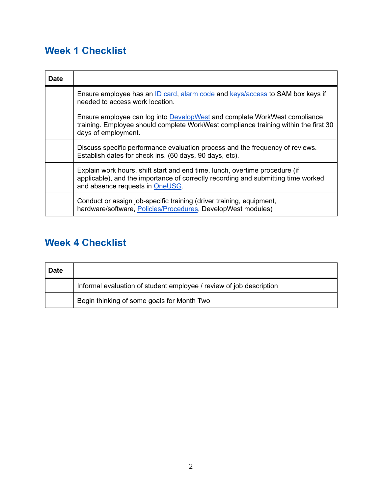## **Week 1 Checklist**

| <b>Date</b> |                                                                                                                                                                                                     |
|-------------|-----------------------------------------------------------------------------------------------------------------------------------------------------------------------------------------------------|
|             | Ensure employee has an ID card, alarm code and keys/access to SAM box keys if<br>needed to access work location.                                                                                    |
|             | Ensure employee can log into DevelopWest and complete WorkWest compliance<br>training. Employee should complete WorkWest compliance training within the first 30<br>days of employment.             |
|             | Discuss specific performance evaluation process and the frequency of reviews.<br>Establish dates for check ins. (60 days, 90 days, etc).                                                            |
|             | Explain work hours, shift start and end time, lunch, overtime procedure (if<br>applicable), and the importance of correctly recording and submitting time worked<br>and absence requests in OneUSG. |
|             | Conduct or assign job-specific training (driver training, equipment,<br>hardware/software, Policies/Procedures, DevelopWest modules)                                                                |

## **Week 4 Checklist**

| ∣ Date |                                                                     |
|--------|---------------------------------------------------------------------|
|        | Informal evaluation of student employee / review of job description |
|        | Begin thinking of some goals for Month Two                          |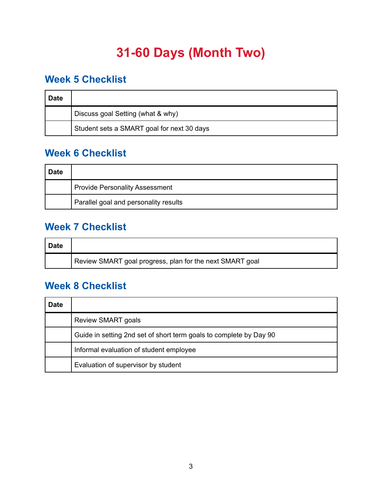## **31-60 Days (Month Two)**

#### **Week 5 Checklist**

| <b>Date</b> |                                            |
|-------------|--------------------------------------------|
|             | Discuss goal Setting (what & why)          |
|             | Student sets a SMART goal for next 30 days |

#### **Week 6 Checklist**

| <b>Date</b> |                                       |
|-------------|---------------------------------------|
|             | <b>Provide Personality Assessment</b> |
|             | Parallel goal and personality results |

#### **Week 7 Checklist**

| <b>Date</b> |                                                          |
|-------------|----------------------------------------------------------|
|             | Review SMART goal progress, plan for the next SMART goal |

#### **Week 8 Checklist**

| <b>Date</b> |                                                                    |
|-------------|--------------------------------------------------------------------|
|             | <b>Review SMART goals</b>                                          |
|             | Guide in setting 2nd set of short term goals to complete by Day 90 |
|             | Informal evaluation of student employee                            |
|             | Evaluation of supervisor by student                                |